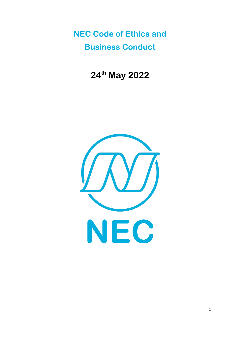**NEC Code of Ethics and Business Conduct**

**24th May 2022**

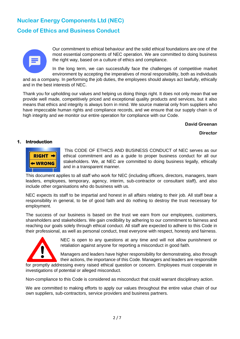# **Nuclear Energy Components Ltd (NEC)**

# **Code of Ethics and Business Conduct**



Our commitment to ethical behaviour and the solid ethical foundations are one of the most essential components of NEC operation. We are committed to doing business the right way, based on a culture of ethics and compliance.

In the long term, we can successfully face the challenges of competitive market environment by accepting the imperatives of moral responsibility, both as individuals

and as a company. In performing the job duties, the employees should always act lawfully, ethically and in the best interests of NEC.

Thank you for upholding our values and helping us doing things right. It does not only mean that we provide well made, competitively priced and exceptional quality products and services, but it also means that ethics and integrity is always born in mind. We source material only from suppliers who have impeccable human rights and compliance records, and we ensure that our supply chain is of high integrity and we monitor our entire operation for compliance with our Code.

#### **David Greenan**

 **Director**

#### **1. Introduction**



This CODE OF ETHICS AND BUSINESS CONDUCT of NEC serves as our ethical commitment and as a guide to proper business conduct for all our stakeholders. We, at NEC are committed to doing business legally, ethically and in a transparent manner.

This document applies to all staff who work for NEC (including officers, directors, managers, team leaders, employees, temporary, agency, interim, sub-contractor or consultant staff), and also include other organisations who do business with us.

NEC expects its staff to be impartial and honest in all affairs relating to their job. All staff bear a responsibility in general, to be of good faith and do nothing to destroy the trust necessary for employment.

The success of our business is based on the trust we earn from our employees, customers, shareholders and stakeholders. We gain credibility by adhering to our commitment to fairness and reaching our goals solely through ethical conduct. All staff are expected to adhere to this Code in their professional, as well as personal conduct, treat everyone with respect, honesty and fairness.



NEC is open to any questions at any time and will not allow punishment or retaliation against anyone for reporting a misconduct in good faith.

Managers and leaders have higher responsibility for demonstrating, also through their actions, the importance of this Code. Managers and leaders are responsible

for promptly addressing every raised ethical question or concern. Employees must cooperate in investigations of potential or alleged misconduct.

Non-compliance to this Code is considered as misconduct that could warrant disciplinary action.

We are committed to making efforts to apply our values throughout the entire value chain of our own suppliers, sub-contractors, service providers and business partners.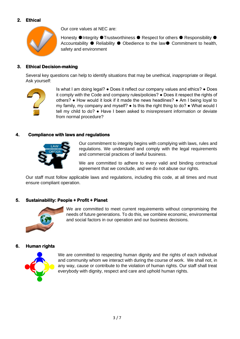# **2. Ethical**



Our core values at NEC are:

Honesty ●Integrity ●Trustworthiness ● Respect for others ● Responsibility ● Accountability ● Reliability ● Obedience to the law● Commitment to health, safety and environment

# **3. Ethical Decision-making**

Several key questions can help to identify situations that may be unethical, inappropriate or illegal. Ask yourself:



Is what I am doing legal? ● Does it reflect our company values and ethics? ● Does it comply with the Code and company rules/policies? ● Does it respect the rights of others? ● How would it look if it made the news headlines? ● Am I being loyal to my family, my company and myself? ● Is this the right thing to do? ● What would I tell my child to do? ● Have I been asked to misrepresent information or deviate from normal procedure?

# **4. Compliance with laws and regulations**



Our commitment to integrity begins with complying with laws, rules and regulations. We understand and comply with the legal requirements and commercial practices of lawful business.

We are committed to adhere to every valid and binding contractual agreement that we conclude, and we do not abuse our rights.

Our staff must follow applicable laws and regulations, including this code, at all times and must ensure compliant operation.

# **5. Sustainability: People + Profit + Planet**



We are committed to meet current requirements without compromising the needs of future generations. To do this, we combine economic, environmental and social factors in our operation and our business decisions.

## **6. Human rights**



We are committed to respecting human dignity and the rights of each individual and community whom we interact with during the course of work. We shall not, in any way, cause or contribute to the violation of human rights. Our staff shall treat everybody with dignity, respect and care and uphold human rights.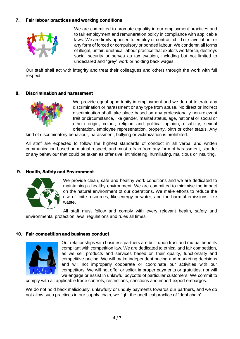## **7. Fair labour practices and working conditions**



We are committed to promote equality in our employment practices and to fair employment and remuneration policy in compliance with applicable laws. We are firmly opposed to employ or contract child or slave labour or any form of forced or compulsory or bonded labour. We condemn all forms of illegal, unfair, unethical labour practice that exploits workforce, destroys social security or serves as tax evasion, including but not limited to undeclared and "grey" work or holding back wages.

Our staff shall act with integrity and treat their colleagues and others through the work with full respect.

#### **8. Discrimination and harassment**



We provide equal opportunity in employment and we do not tolerate any discrimination or harassment or any type from abuse. No direct or indirect discrimination shall take place based on any professionally non-relevant trait or circumstance, like gender, marital status, age, national or social or ethnic origin, colour, religion and political opinion, disability, sexual orientation, employee representation, property, birth or other status. Any

kind of discriminatory behaviour, harassment, bullying or victimization is prohibited.

All staff are expected to follow the highest standards of conduct in all verbal and written communication based on mutual respect, and must refrain from any form of harassment, slander or any behaviour that could be taken as offensive, intimidating, humiliating, malicious or insulting.

#### **9. Health, Safety and Environment**



We provide clean, safe and healthy work conditions and we are dedicated to maintaining a healthy environment. We are committed to minimise the impact on the natural environment of our operations. We make efforts to reduce the use of finite resources, like energy or water, and the harmful emissions, like waste.

All staff must follow and comply with every relevant health, safety and environmental protection laws, regulations and rules all times.

#### **10. Fair competition and business conduct**



Our relationships with business partners are built upon trust and mutual benefits compliant with competition law. We are dedicated to ethical and fair competition, as we sell products and services based on their quality, functionality and competitive pricing. We will make independent pricing and marketing decisions and will not improperly cooperate or coordinate our activities with our competitors. We will not offer or solicit improper payments or gratuities, nor will we engage or assist in unlawful boycotts of particular customers. We commit to

comply with all applicable trade controls, restrictions, sanctions and import-export embargos.

We do not hold back maliciously, unlawfully or unduly payments towards our partners, and we do not allow such practices in our supply chain, we fight the unethical practice of "debt chain".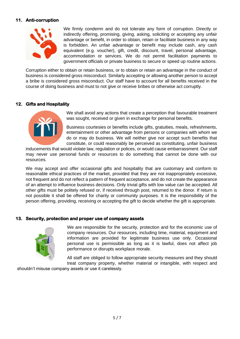# **11. Anti-corruption**



We firmly condemn and do not tolerate any form of corruption. Directly or indirectly offering, promising, giving, asking, soliciting or accepting any unfair advantage or benefit, in order to obtain, retain or facilitate business in any way is forbidden. An unfair advantage or benefit may include cash, any cash equivalent (e.g. voucher), gift, credit, discount, travel, personal advantage, accommodation or services. We do not permit facilitation payments to government officials or private business to secure or speed up routine actions.

Corruption either to obtain or retain business, or to obtain or retain an advantage in the conduct of business is considered gross misconduct. Similarly accepting or allowing another person to accept a bribe is considered gross misconduct. Our staff have to account for all benefits received in the course of doing business and must to not give or receive bribes or otherwise act corruptly.

## **12. Gifts and Hospitality**



We shall avoid any actions that create a perception that favourable treatment was sought, received or given in exchange for personal benefits.

Business courtesies or benefits include gifts, gratuities, meals, refreshments, entertainment or other advantage from persons or companies with whom we do or may do business. We will neither give nor accept such benefits that constitute, or could reasonably be perceived as constituting, unfair business

inducements that would violate law, regulation or polices, or would cause embarrassment. Our staff may never use personal funds or resources to do something that cannot be done with our resources.

We may accept and offer occasional gifts and hospitality that are customary and conform to reasonable ethical practices of the market, provided that they are not inappropriately excessive, not frequent and do not reflect a pattern of frequent acceptance, and do not create the appearance of an attempt to influence business decisions. Only trivial gifts with low value can be accepted. All other gifts must be politely refused or, if received through post, returned to the donor. If return is not possible it shall be offered for charity or community purposes. It is the responsibility of the person offering, providing, receiving or accepting the gift to decide whether the gift is appropriate.

## **13. Security, protection and proper use of company assets**



We are responsible for the security, protection and for the economic use of company resources. Our resources, including time, material, equipment and information are provided for legitimate business use only. Occasional personal use is permissible as long as it is lawful, does not affect job performance or disrupts workplace morale.

All staff are obliged to follow appropriate security measures and they should treat company property, whether material or intangible, with respect and

shouldn't misuse company assets or use it carelessly.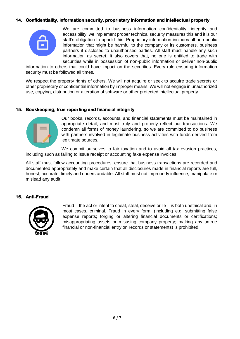## **14. Confidentiality, information security, proprietary information and intellectual property**



We are committed to business information confidentiality, integrity and accessibility, we implement proper technical security measures this and it is our staff's obligation to uphold this. Proprietary information includes all non-public information that might be harmful to the company or its customers, business partners if disclosed to unauthorised parties. All staff must handle any such information as secret. It also covers that, no one is entitled to trade with securities while in possession of non-public information or deliver non-public

information to others that could have impact on the securities. Every rule ensuring information security must be followed all times.

We respect the property rights of others. We will not acquire or seek to acquire trade secrets or other proprietary or confidential information by improper means. We will not engage in unauthorized use, copying, distribution or alteration of software or other protected intellectual property.

#### **15. Bookkeeping, true reporting and financial integrity**



Our books, records, accounts, and financial statements must be maintained in appropriate detail, and must truly and properly reflect our transactions. We condemn all forms of money laundering, so we are committed to do business with partners involved in legitimate business activities with funds derived from legitimate sources.

We commit ourselves to fair taxation and to avoid all tax evasion practices, including such as failing to issue receipt or accounting fake expense invoices.

All staff must follow accounting procedures, ensure that business transactions are recorded and documented appropriately and make certain that all disclosures made in financial reports are full, honest, accurate, timely and understandable. All staff must not improperly influence, manipulate or mislead any audit.

## **16. Anti-Fraud**



Fraud – the act or intent to cheat, steal, deceive or lie – is both unethical and, in most cases, criminal. Fraud in every form, (including e.g. submitting false expense reports; forging or altering financial documents or certifications; misappropriating assets or misusing company property; making any untrue financial or non-financial entry on records or statements) is prohibited.